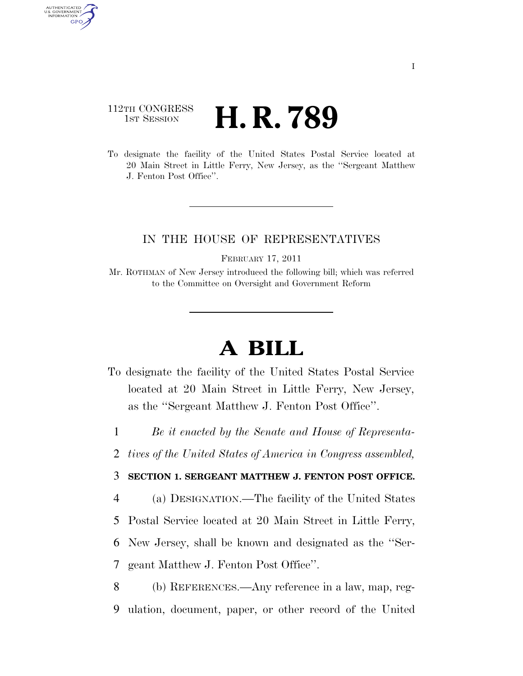## 112TH CONGRESS **HE CONGRESS H. R. 789**

AUTHENTICATED U.S. GOVERNMENT **GPO** 

> To designate the facility of the United States Postal Service located at 20 Main Street in Little Ferry, New Jersey, as the ''Sergeant Matthew J. Fenton Post Office''.

## IN THE HOUSE OF REPRESENTATIVES

FEBRUARY 17, 2011

Mr. ROTHMAN of New Jersey introduced the following bill; which was referred to the Committee on Oversight and Government Reform

## **A BILL**

To designate the facility of the United States Postal Service located at 20 Main Street in Little Ferry, New Jersey, as the ''Sergeant Matthew J. Fenton Post Office''.

1 *Be it enacted by the Senate and House of Representa-*

2 *tives of the United States of America in Congress assembled,* 

## 3 **SECTION 1. SERGEANT MATTHEW J. FENTON POST OFFICE.**

4 (a) DESIGNATION.—The facility of the United States 5 Postal Service located at 20 Main Street in Little Ferry,

6 New Jersey, shall be known and designated as the ''Ser-

7 geant Matthew J. Fenton Post Office''.

8 (b) REFERENCES.—Any reference in a law, map, reg-9 ulation, document, paper, or other record of the United